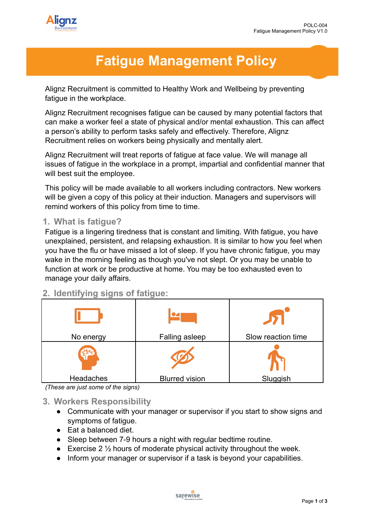

# **Fatigue Management Policy**

Alignz Recruitment is committed to Healthy Work and Wellbeing by preventing fatigue in the workplace.

Alignz Recruitment recognises fatigue can be caused by many potential factors that can make a worker feel a state of physical and/or mental exhaustion. This can affect a person's ability to perform tasks safely and effectively. Therefore, Alignz Recruitment relies on workers being physically and mentally alert.

Alignz Recruitment will treat reports of fatigue at face value. We will manage all issues of fatigue in the workplace in a prompt, impartial and confidential manner that will best suit the employee.

This policy will be made available to all workers including contractors. New workers will be given a copy of this policy at their induction. Managers and supervisors will remind workers of this policy from time to time.

### **1. What is fatigue?**

Fatigue is a lingering tiredness that is constant and limiting. With fatigue, you have unexplained, persistent, and relapsing exhaustion. It is similar to how you feel when you have the flu or have missed a lot of sleep. If you have chronic fatigue, you may wake in the morning feeling as though you've not slept. Or you may be unable to function at work or be productive at home. You may be too exhausted even to manage your daily affairs.

## **2. Identifying signs of fatigue:**

| No energy | Falling asleep        | Slow reaction time |
|-----------|-----------------------|--------------------|
|           |                       |                    |
| Headaches | <b>Blurred vision</b> | Sluggish           |

*<sup>(</sup>These are just some of the signs)*

## **3. Workers Responsibility**

- Communicate with your manager or supervisor if you start to show signs and symptoms of fatigue.
- Eat a balanced diet.
- Sleep between 7-9 hours a night with regular bedtime routine.
- **•** Exercise 2  $\frac{1}{2}$  hours of moderate physical activity throughout the week.
- Inform your manager or supervisor if a task is beyond your capabilities.

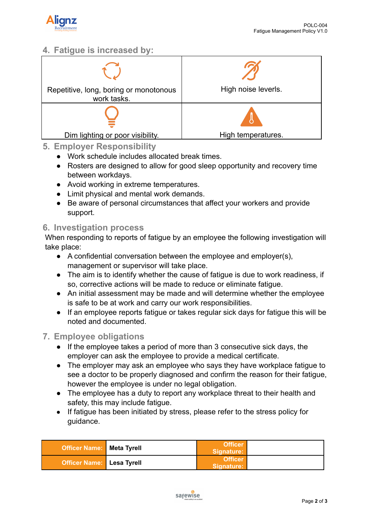

## **4. Fatigue is increased by:**



#### **5. Employer Responsibility**

- Work schedule includes allocated break times.
- Rosters are designed to allow for good sleep opportunity and recovery time between workdays.
- Avoid working in extreme temperatures.
- Limit physical and mental work demands.
- Be aware of personal circumstances that affect your workers and provide support.

#### **6. Investigation process**

When responding to reports of fatigue by an employee the following investigation will take place:

- A confidential conversation between the employee and employer(s), management or supervisor will take place.
- The aim is to identify whether the cause of fatigue is due to work readiness, if so, corrective actions will be made to reduce or eliminate fatigue.
- An initial assessment may be made and will determine whether the employee is safe to be at work and carry our work responsibilities.
- If an employee reports fatigue or takes regular sick days for fatigue this will be noted and documented.

#### **7. Employee obligations**

- If the employee takes a period of more than 3 consecutive sick days, the employer can ask the employee to provide a medical certificate.
- The employer may ask an employee who says they have workplace fatigue to see a doctor to be properly diagnosed and confirm the reason for their fatigue, however the employee is under no legal obligation.
- The employee has a duty to report any workplace threat to their health and safety, this may include fatigue.
- If fatigue has been initiated by stress, please refer to the stress policy for guidance.

| Officer Name:   Meta Tyrell      | <b>Officer</b><br>Signature: |  |
|----------------------------------|------------------------------|--|
| <b>Officer Name:</b> Lesa Tyrell | <b>Officer</b><br>Signature: |  |